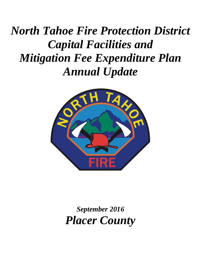# *North Tahoe Fire Protection District Capital Facilities and Mitigation Fee Expenditure Plan Annual Update*



*September 2016 Placer County*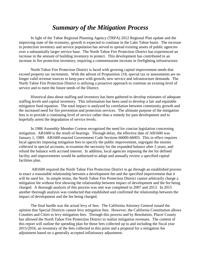# *Summary of the Mitigation Process*

In light of the Tahoe Regional Planning Agency (TRPA) 2012 Regional Plan update and the improving state of the economy, growth is expected to continue in the Lake Tahoe basin. The increase in protection inventory and service population has served to spread existing assets of public agencies over a substantially larger service base. The North Tahoe Fire Protection District has experienced an increase in the amount of building inventory to protect. This development has contributed to an increase in fire protection inventory, requiring a commensurate increase in firefighting infrastructure.

North Tahoe Fire Protection District is faced with growing capital improvement needs that exceed property tax increments. With the advent of Proposition 218, special tax or assessments are no longer valid revenue sources to keep pace with growth, new service and infrastructure demands. The North Tahoe Fire Protection District is utilizing a proactive approach to continue an existing level of service and to meet the future needs of the District.

Historical data about staffing and inventory has been gathered to develop estimates of adequate staffing levels and capital inventory. This information has been used to develop a fair and equitable mitigation fund equation. The total impact is analyzed by correlation between community growth and the increased need for fire prevention and protection services. The ultimate purpose of the mitigation fees is to provide a continuing level of service rather than a remedy for past development and to hopefully arrest the degradation of service levels.

In 1986 Assembly Member Cortese recognized the need for concise legislation concerning mitigation. AB1600 is the result of hearings. Through delay, the effective date of AB1600 was January 1, 1989. AB1600 enacted Government Code Sections 66000-66003. This in effect requires local agencies imposing mitigation fees to specify the public improvement, segregate the monies collected in special accounts, re-examine the necessity for the expanded balance after 5 years, and refund the balance with accrued interest. In addition, local agencies imposing the fee for defined facility and improvements would be authorized to adopt and annually review a specified capital facilities plan.

AB1600 required the North Tahoe Fire Protection District to go through an established process to enact a reasonable relationship between a development fee and the specified improvement that it will be used for. In simple terms, the North Tahoe Fire Protection District cannot arbitrarily charge a mitigation fee without first showing the relationship between impact of development and the fee being charged. A thorough analysis of this process was met was completed in 2007 and 2013. In 2015 another thorough analysis was conducted that established and confirmed the relationship between the impact of development and the fee being charged.

The final hurdle was the actual levy of fees. The California Attorney General issued the opinion that Special Districts cannot levy mitigation fees. However, the California Constitution allows Counties and Cities to levy mitigation fees. Through this process and by Resolution, Placer County has allowed the North Tahoe Fire Protection District to realize mitigation revenues. The content of this report will outline the spending plan for those fees collected up to and including the fiscal year 2015/2016, an inventory of the fees collected to this point and a proposal for a mitigation fee adjustment based on a generally accepted inflationary adjustment.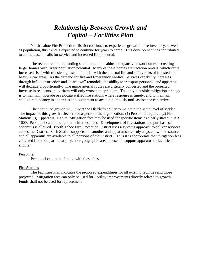# *Relationship Between Growth and Capital – Facilities Plan*

North Tahoe Fire Protection District continues to experience growth in fire inventory, as well as population, this trend is expected to continue for years to come. This development has contributed to an increase in calls for service and increased fire potential.

The recent trend of expanding small mountain cabins to expansive resort homes is creating larger homes with larger population potential. Many of these homes are vacation rentals, which carry increased risks with transient guests unfamiliar with the unusual fire and safety risks of forested and heavy snow areas. As the demand for fire and Emergency Medical Services capability increases through infill construction and "teardown" remodels, the ability to transport personnel and apparatus will degrade proportionally. The major arterial routes are critically congested and the projected increase in residents and visitors will only worsen the problem. The only plausible mitigation strategy is to maintain, upgrade or relocate staffed fire stations where response is timely, and to maintain enough redundancy in apparatus and equipment to act autonomously until assistance can arrive.

The continued growth will impact the District's ability to maintain the same level of service. The impact of this growth affects three aspects of the organization: (1) Personnel required (2) Fire Stations (3) Apparatus. Capital Mitigation fees may be used for specific items as clearly stated in AB 1600. Personnel cannot be funded with these fees. Development of fire stations and purchase of apparatus is allowed. North Tahoe Fire Protection District uses a systems approach to deliver services across the District. Each Station supports one another and apparatus are truly a system wide resource and all apparatus are available to all portions of the District. Thus it is appropriate that mitigation fees collected from one particular project or geographic area be used to support apparatus or facilities in another.

#### Personnel

Personnel cannot be funded with these fees.

#### Fire Stations

The Facilities Plan indicates the proposed expenditures for all existing facilities and those projected. Mitigation fees can only be used for Facility improvements directly related to growth. Funds shall not be used for replacement.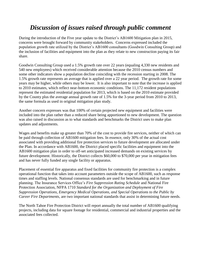# *Discussion of issues raised through public comment*

During the introduction of the Five year update to the District's AB1600 Mitigation plan in 2015, concerns were brought forward by community stakeholders. Concerns expressed included the population growth rate utilized by the District's AB1600 consultants (Goodwin Consulting Group) and the inclusion of facilities and equipment into the plan as they relate to new construction paying its fair share.

Goodwin Consulting Group used a 1.5% growth rate over 22 years (equaling 4,330 new residents and 540 new employees) which received considerable attention because the 2010 census numbers and some other indicators show a population decline coinciding with the recession starting in 2008. The 1.5% growth rate represents an average that is applied over a 22 year period. The growth rate for some years may be higher, while others may be lower. It is also important to note that the increase is applied to 2010 estimates, which reflect near-bottom economic conditions. The 11,172 resident populations represent the estimated residential population for 2013, which is based on the 2010 estimate provided by the County plus the average annual growth rate of 1.5% for the 3-year period from 2010 to 2013, the same formula as used in original mitigation plan study.

Another concern expresses was that 100% of certain projected new equipment and facilities were included into the plan rather than a reduced share being apportioned to new development. The question was also raised in discussion as to what standards and benchmarks the District uses to make plan updates and adjustments.

Wages and benefits make up greater than 70% of the cost to provide fire services, neither of which can be paid through collection of AB1600 mitigation fees. In essence, only 30% of the actual cost associated with providing additional fire protection services to future development are allocated under the Plan. In accordance with AB1600, the District placed specific facilities and equipment into the AB1600 mitigation plan in order to off-set anticipated increased demands on existing services by future development. Historically, the District collects \$60,000 to \$70,000 per year in mitigation fees and has never fully funded any single facility or apparatus.

Placement of essential fire apparatus and fixed facilities for community fire protection is a complex operational function that takes into account parameters outside the scope of AB1600, such as response times and staffing levels. National consensus standards are used for benchmarking and in future planning. The Insurance Services Office's *Fire Suppression Rating Schedule* and National Fire Protection Association, NFPA 1710 *Standard for the Organization and Deployment of Fire Suppression Operations, Emergency Medical Operations, and Special Operations to the Public by Career Fire Departments*, are two important national standards that assist in determining future needs.

The North Tahoe Fire Protection District will report annually the total number of AB1600 qualifying projects, including data for square footage for residential, commercial and industrial properties and the associated fees collected.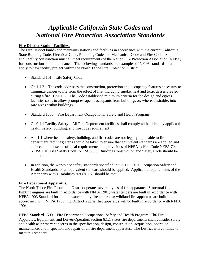# *Applicable California State Codes and National Fire Protection Association Standards*

### **Fire District Station Facilities.**

The Fire District builds and maintains stations and facilities in accordance with the current California State Building Code, Electrical Code, Plumbing Code and Mechanical Code and Fire Code. Station and Facility construction must all meet requirements of the Nation Fire Protection Association (NFPA) for construction and maintenance. The following standards are examples of NFPA standards that apply to new facility project within the North Tahoe Fire Protection District.

- Standard 101 Life Safety Code
- Ch 1.1.2 The code addresses the construction, protection and occupancy features necessary to minimize danger to life from the effect of fire, including smoke, heat and toxic gasses created during a fire. Ch1.1.3 – The Code established minimum criteria for the design and egress facilities so as to allow prompt escape of occupants from buildings or, where, desirable, into safe areas within buildings.
- Standard 1500 Fire Department Occupational Safety and Health Program
- Ch 9.1.1 Facility Safety All Fire Department facilities shall comply with all legally applicable health, safety, building, and fire code requirement.
- A.9.1.1 where health, safety, building, and fire codes are not legally applicable to fire department facilities; steps should be taken to ensure that equivalent standards are applied and enforced. In absence of local requirements, the provisions of NFPA 1; Fire Code NFPA 70; NFPA 101, Life Safety Code; NFPA 5000, Building Construction and Safety Code should be applied.
- In addition, the workplace safety standards specified in 92CFR 1910, Occupation Safety and Health Standards, or an equivalent standard should be applied. Applicable requirements of the Americans with Disabilities Act (ADA) should be met.

### **Fire Department Apparatus.**

The North Tahoe Fire Protection District operates several types of fire apparatus. Structural fire fighting engines are built in accordance with NFPA 1901; water tenders are built in accordance with NFPA 1903 Standard for mobile water supply fire apparatus; wildland fire apparatus are built in accordance with NFPA 1906; the District's aerial fire apparatus will be built in accordance with NFPA 1904.

NFPA Standard 1500 – Fire Department Occupational Safety and Health Program; Ch6 Fire Apparatus, Equipment, and Driver/Operators section 6.1.1 states fire departments shall consider safety and health as primary concerns in the specification, design, construction, acquisition, operation, maintenance, and inspection and repair of all fire department apparatus. The District will continue to meet this standard.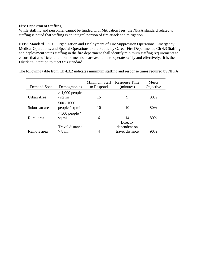#### **Fire Department Staffing.**

While staffing and personnel cannot be funded with Mitigation fees; the NFPA standard related to staffing is noted that staffing is an integral portion of fire attack and mitigation.

NFPA Standard 1710 – Organization and Deployment of Fire Suppression Operations, Emergency Medical Operations, and Special Operations to the Public by Career Fire Departments; Ch 4.3 Staffing and deployment states staffing in the fire department shall identify minimum staffing requirements to ensure that a sufficient number of members are available to operate safely and effectively. It is the District's intention to meet this standard.

| Demand Zone   | Demographics                            | Minimum Staff<br>to Respond | Response Time<br>(minutes) | <b>Meets</b><br>Objective |
|---------------|-----------------------------------------|-----------------------------|----------------------------|---------------------------|
| Urban Area    | $> 1,000$ people<br>$\frac{1}{2}$ sq mi | 15                          | 9                          | 90%                       |
| Suburban area | $500 - 1000$<br>people / sq mi          | 10                          | 10                         | 80%                       |
| Rural area    | $< 500$ people /<br>sq mi               | 6                           | 14                         | 80%                       |
|               | Travel distance                         |                             | Directly<br>dependent on   |                           |
| Remote area   | $> 8$ mi                                | 4                           | travel distance            | 90%                       |

The following table from Ch 4.3.2 indicates minimum staffing and response times required by NFPA: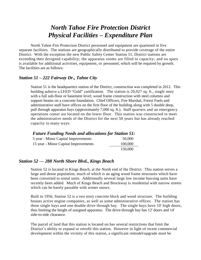# *North Tahoe Fire Protection District Physical Facilities – Expenditure Plan*

North Tahoe Fire Protection District personnel and equipment are quartered in five separate facilities. The stations are geographically distributed to provide coverage of the entire District. With the exception the new Public Safety Center Station 51, District stations are exceeding their designed capability; the apparatus rooms are filled to capacity; and no space is available for additional activities, equipment, or personnel, which will be required by growth. The facilities are as follows:

### *Station 51 – 222 Fairway Dr., Tahoe City*

Station 51 is the headquarters station of the District, construction was completed in 2012. This building achieve a LEED "Gold" certification. The station is 20,027 sq. ft., single story with a full sub-floor or basement level; wood frame construction with steel columns and support beams on a concrete foundation. Chief Officers, Fire Marshal, Forest Fuels and administrative staff have offices on the first floor of the building along with 5 double deep, pull through apparatus bays (approximately 7,000 sq. ft.). Staff quarters and an emergency operations center are located on the lower floor. This station was constructed to meet the administrative needs of the District for the next 50 years but has already reached capacity in many ways.

#### *Future Funding Needs and allocations for Station 51:*

| 5 year - Minor Capital Improvements  | 50,000  |
|--------------------------------------|---------|
| 15 year - Minor Capital Improvements | 100,000 |
|                                      | 150,000 |

### *Station 52 — 288 North Shore Blvd., Kings Beach*

Station 52 is located in Kings Beach, at the North end of the District. This station serves a large and dense population, much of which is an aging wood frame structures which have been converted to rental units. Additionally several large low income housing units have recently been added. Much of Kings Beach and Brockway is residential with narrow streets which can be barely passable with winter snows.

Built in 1956, Station 52 is a two story concrete block and wood structure. The building houses active engine companies, as well as some administrative offices. The station has three single bays and one double drive through bay. The single bays have 10' high doors, thus limiting the height of assigned apparatus. The drive-through bay has 12' doors and 14' side-to-side clearance.

The parcel of land that this station is located on has several restrictions that limit the District's ability to expand or retrofit this station. However in light of recent commercial development within the vicinity of this station, a significant remodel/upgrade must be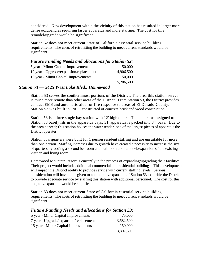considered. New development within the vicinity of this station has resulted in larger more dense occupancies requiring larger apparatus and more staffing. The cost for this remodel/upgrade would be significant.

Station 52 does not meet current State of California essential service building requirements. The costs of retrofitting the building to meet current standards would be significant.

### *Future Funding Needs and allocations for Station 52:* 5 year - Minor Capital Improvements 150,000 10 year - Upgrade/expansion/replacement 4,906,500 15 year - Minor Capital Improvements 150,000 5,206,500

### *Station 53 — 5425 West Lake Blvd., Homewood*

Station 53 serves the southernmost portions of the District. The area this station serves is much more remote than other areas of the District. From Station 53, the District provides contract EMS and automatic aide for fire response to areas of El Dorado County. Station 53 was built in 1962, constructed of concrete brick and wood construction.

Station 53 is a three single bay station with 12' high doors. The apparatus assigned to Station 53 barely fits in the apparatus bays; 31' apparatus is packed into 34' bays. Due to the area served; this station houses the water tender, one of the largest pieces of apparatus the District operates.

Station 53's quarters were built for 1 person resident staffing and are unsuitable for more than one person. Staffing increases due to growth have created a necessity to increase the size of quarters by adding a second bedroom and bathroom and remodel/expansion of the existing kitchen and living room.

Homewood Mountain Resort is currently in the process of expanding/upgrading their facilities. Their project would include additional commercial and residential buildings. This development will impact the District ability to provide service with current staffing levels. Serious consideration will have to be given to an upgrade/expansion of Station 53 to enable the District to provide adequate service by staffing this station with additional personnel. The cost for this upgrade/expansion would be significant.

Station 53 does not meet current State of California essential service building requirements. The costs of retrofitting the building to meet current standards would be significant

| <b>Future Funding Needs and allocations for Station 53:</b> |           |  |  |
|-------------------------------------------------------------|-----------|--|--|
| 5 year - Minor Capital Improvements                         | 75,000    |  |  |
| 7 year - Upgrade/expansion/replacement                      | 3,582,500 |  |  |
| 15 year - Minor Capital Improvements                        | 150,000   |  |  |
|                                                             | 3,807,500 |  |  |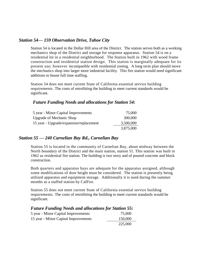### *Station 54— 159 Observation Drive, Tahoe City*

Station 54 is located in the Dollar Hill area of the District. The station serves both as a working mechanics shop of the District and storage for response apparatus. Station 54 is on a residential lot in a residential neighborhood. The Station built in 1962 with wood frame construction and residential station design. This station is marginally adequate for its present use; however incompatible with residential zoning. A long term plan should move the mechanics shop into larger more industrial facility. This fire station would need significant additions to house full time staffing.

Station 54 does not meet current State of California essential service building requirements. The costs of retrofitting the building to meet current standards would be significant.

### *Future Funding Needs and allocations for Station 54:*

| 5 year - Minor Capital Improvements     | 75,000    |
|-----------------------------------------|-----------|
| <b>Upgrade of Mechanic Shop</b>         | 300,000   |
| 15 year - Upgrade/expansion/replacement | 3,500,000 |
|                                         | 3,875,000 |

### *Station 55 — 240 Carnelian Bay Rd., Carnelian Bay*

Station 55 is located in the community of Carnelian Bay, about midway between the North boundary of the District and the main station, station 51. This station was built in 1962 as residential fire station. The building is two story and of poured concrete and block construction.

Both quarters and apparatus bays are adequate for the apparatus assigned, although some modifications of door height must be considered. The station is presently being utilized apparatus and equipment storage. Additionally it is used during the summer months as a staffed station by CalFire.

Station 55 does not meet current State of California essential service building requirements. The costs of retrofitting the building to meet current standards would be significant.

| <b>Future Funding Needs and allocations for Station 55:</b> |         |  |  |  |
|-------------------------------------------------------------|---------|--|--|--|
| 5 year - Minor Capital Improvements                         | 75,000  |  |  |  |
| 15 year - Minor Capital Improvements                        | 150,000 |  |  |  |
|                                                             | 225,000 |  |  |  |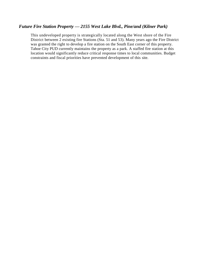### *Future Fire Station Property — 2155 West Lake Blvd., Pine/and (Kilner Park)*

This undeveloped property is strategically located along the West shore of the Fire District between 2 existing fire Stations (Sta. 51 and 53). Many years ago the Fire District was granted the right to develop a fire station on the South East corner of this property. Tahoe City PUD currently maintains the property as a park. A staffed fire station at this location would significantly reduce critical response times to local communities. Budget constraints and fiscal priorities have prevented development of this site.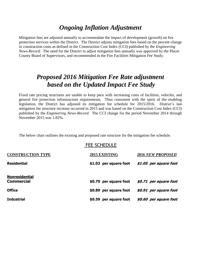# *Ongoing Inflation Adjustment*

Mitigation fees are adjusted annually to accommodate the impact of development (growth) on fire protection services within the District. The District adjusts mitigation fees based on the percent change in construction costs as defined in the Construction Cost Index (CCI) published by the *Engineering News-Record.* The need for the District to adjust mitigation fees annually was approved by the Placer County Board of Supervisors, and recommended in the Fire Facilities Mitigation Fee Study.

## *Proposed 2016 Mitigation Fee Rate adjustment based on the Updated Impact Fee Study*

Fixed rate pricing structures are unable to keep pace with increasing costs of facilities, vehicles, and general fire protection infrastructure requirements. Thus consistent with the spirit of the enabling legislation, the District has adjusted its mitigation fee schedule for 2015/2016. District's last mitigation fee structure increase occurred in 2015 and was based on the Construction Cost Index (CCI) published by the *Engineering News-Record.* The CCI change for the period November 2014 through November 2015 was 1.82%.

The below chart outlines the existing and proposed rate structure for the mitigation fee schedule.

|                                            | <b>FEE SCHEDULE</b>    |                          |
|--------------------------------------------|------------------------|--------------------------|
| <b>CONSTRUCTION TYPE</b>                   | 2015 EXISTING          | <b>2016 NEW PROPOSED</b> |
| <b>Residential</b>                         | \$1.03 per square foot | \$1.05 per square foot   |
| <b>Nonresidential</b><br><b>Commercial</b> | \$0.70 per square foot | \$0.71 per square foot   |
| <b>Office</b>                              | \$0.89 per square foot | \$0.91 per square foot   |
| <b>Industrial</b>                          | \$0.59 per square foot | \$0.60 per square foot   |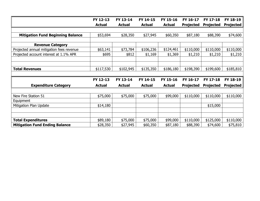|                                          | FY 12-13      | FY 13-14      | FY 14-15      | FY 15-16      | FY 16-17         | FY 17-18         | FY 18-19         |
|------------------------------------------|---------------|---------------|---------------|---------------|------------------|------------------|------------------|
|                                          | <b>Actual</b> | <b>Actual</b> | <b>Actual</b> | <b>Actual</b> | <b>Projected</b> | <b>Projected</b> | <b>Projected</b> |
|                                          |               |               |               |               |                  |                  |                  |
| <b>Mitigation Fund Beginning Balance</b> | \$53,694      | \$28,350      | \$27,945      | \$60,350      | \$87,180         | \$88,390         | \$74,600         |
|                                          |               |               |               |               |                  |                  |                  |
| <b>Revenue Category</b>                  |               |               |               |               |                  |                  |                  |
| Projected annual mitigation fees revenue | \$63,141      | \$73,784      | \$106,236     | \$124,461     | \$110,000        | \$110,000        | \$110,000        |
| Projected account interest at 1.1% APR   | \$695         | \$812         | \$1,169       | \$1,369       | \$1,210          | \$1,210          | \$1,210          |
|                                          |               |               |               |               |                  |                  |                  |
|                                          |               |               |               |               |                  |                  |                  |
| <b>Total Revenues</b>                    | \$117,530     | \$102,945     | \$135,350     | \$186,180     | \$198,390        | \$199,600        | \$185,810        |
|                                          |               |               |               |               |                  |                  |                  |
|                                          | FY 12-13      | FY 13-14      | FY 14-15      | FY 15-16      | FY 16-17         | FY 17-18         | FY 18-19         |
| <b>Expenditure Category</b>              | <b>Actual</b> | <b>Actual</b> | <b>Actual</b> | <b>Actual</b> | <b>Projected</b> | <b>Projected</b> | <b>Projected</b> |
|                                          |               |               |               |               |                  |                  |                  |
| New Fire Station 51                      | \$75,000      | \$75,000      | \$75,000      | \$99,000      | \$110,000        | \$110,000        | \$110,000        |
| Equipment                                |               |               |               |               |                  |                  |                  |
| Mitigation Plan Update                   | \$14,180      |               |               |               |                  | \$15,000         |                  |
|                                          |               |               |               |               |                  |                  |                  |
|                                          |               |               |               |               |                  |                  |                  |
| <b>Total Expenditures</b>                | \$89,180      | \$75,000      | \$75,000      | \$99,000      | \$110,000        | \$125,000        | \$110,000        |
| <b>Mitigation Fund Ending Balance</b>    | \$28,350      | \$27,945      | \$60,350      | \$87,180      | \$88,390         | \$74,600         | \$75,810         |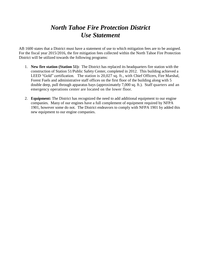# *North Tahoe Fire Protection District Use Statement*

AB 1600 states that a District must have a statement of use to which mitigation fees are to be assigned. For the fiscal year 2015/2016, the fire mitigation fees collected within the North Tahoe Fire Protection District will be utilized towards the following programs:

- 1. **New fire station (Station 51):** The District has replaced its headquarters fire station with the construction of Station 51/Public Safety Center, completed in 2012. This building achieved a LEED "Gold" certification. The station is 20,027 sq. ft., with Chief Officers, Fire Marshal, Forest Fuels and administrative staff offices on the first floor of the building along with 5 double deep, pull through apparatus bays (approximately 7,000 sq. ft.). Staff quarters and an emergency operations center are located on the lower floor.
- 2. **Equipment:** The District has recognized the need to add additional equipment to our engine companies. Many of our engines have a full complement of equipment required by NFPA 1901, however some do not. The District endeavors to comply with NFPA 1901 by added this new equipment to our engine companies.